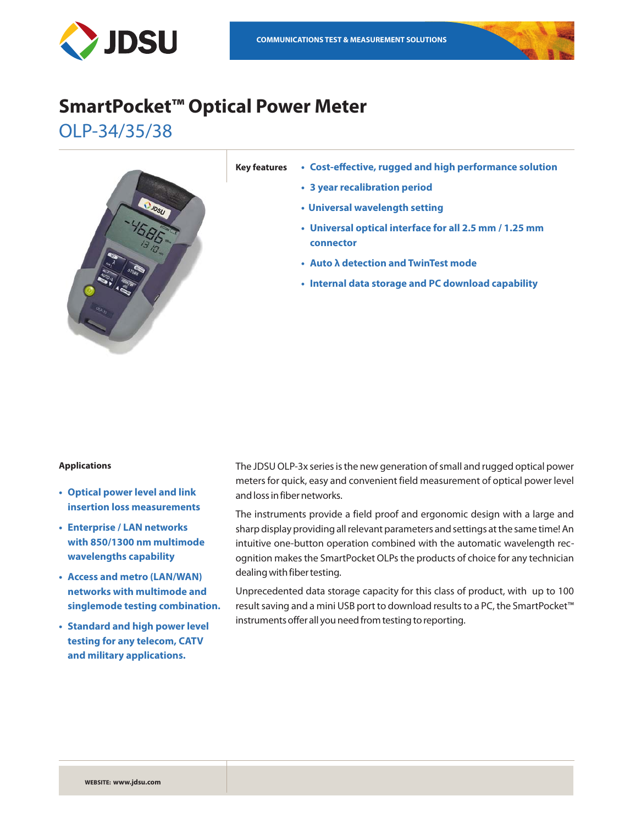

# **SmartPocket™ Optical Power Meter**

OLP-34/35/38



- **Key features • Cost-effective, rugged and high performance solution**
	- **• 3 year recalibration period**
	- **• Universal wavelength setting**
	- **• Universal optical interface for all 2.5 mm / 1.25 mm connector**
	- **• Auto λ detection and TwinTest mode**
	- **• Internal data storage and PC download capability**

#### **Applications**

- **• Optical power level and link insertion loss measurements**
- **• Enterprise / LAN networks with 850/1300 nm multimode wavelengths capability**
- **• Access and metro (LAN/WAN) networks with multimode and singlemode testing combination.**
- **• Standard and high power level testing for any telecom, CATV and military applications.**

The JDSU OLP-3x series is the new generation of small and rugged optical power meters for quick, easy and convenient field measurement of optical power level and loss in fiber networks.

The instruments provide a field proof and ergonomic design with a large and sharp display providing all relevant parameters and settings at the same time! An intuitive one-button operation combined with the automatic wavelength recognition makes the SmartPocket OLPs the products of choice for any technician dealing with fiber testing.

Unprecedented data storage capacity for this class of product, with up to 100 result saving and a mini USB port to download results to a PC, the SmartPocket™ instruments offer all you need from testing to reporting.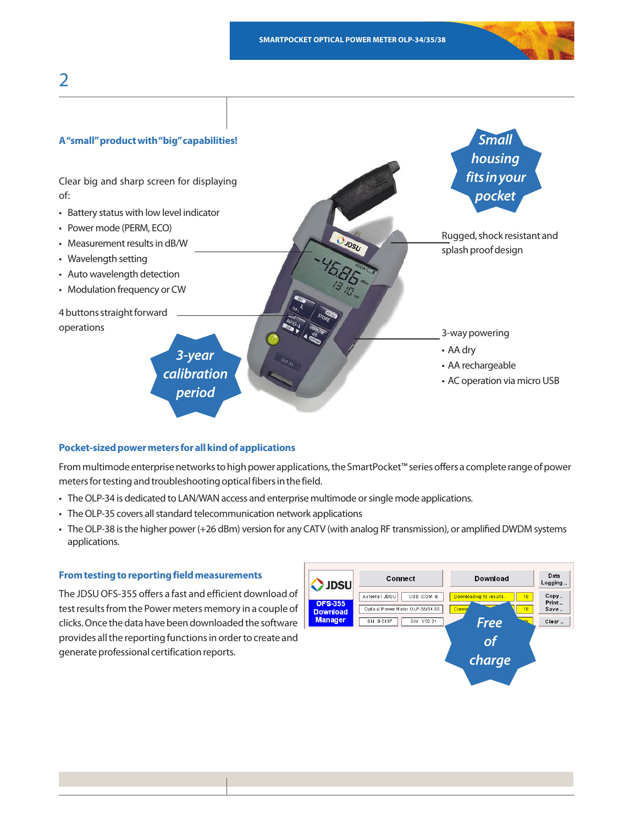

#### **Pocket-sized power meters for all kind of applications**

From multimode enterprise networks to high power applications, the SmartPocket™ series offers a complete range of power meters for testing and troubleshooting optical fibers in the field.

- The OLP-34 is dedicated to LAN/WAN access and enterprise multimode or single mode applications.
- The OLP-35 covers all standard telecommunication network applications
- • The OLP-38 is the higher power (+26 dBm) version for any CATV (with analog RF transmission), or amplified DWDM systems applications.

## **From testing to reporting field measurements**

The JDSU OFS-355 offers a fast and efficient download of test results from the Power meters memory in a couple of clicks. Once the data have been downloaded the software provides all the reporting functions in order to create and generate professional certification reports.

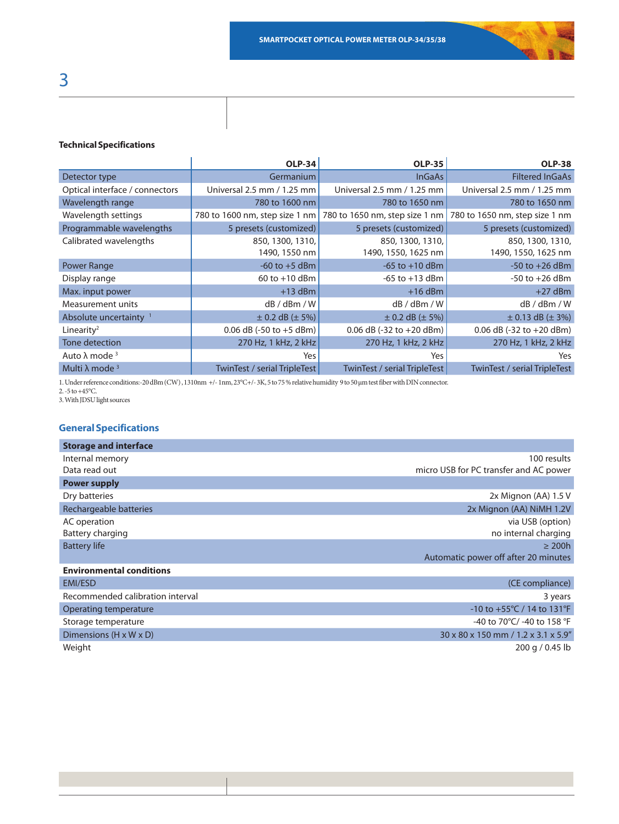#### **Technical Specifications**

|                                   | <b>OLP-34</b>                             | <b>OLP-35</b>                              | <b>OLP-38</b>                                                   |
|-----------------------------------|-------------------------------------------|--------------------------------------------|-----------------------------------------------------------------|
| Detector type                     | Germanium                                 | <b>InGaAs</b>                              | <b>Filtered InGaAs</b>                                          |
| Optical interface / connectors    | Universal 2.5 mm / 1.25 mm                | Universal 2.5 mm / 1.25 mm                 | Universal 2.5 mm / 1.25 mm                                      |
| Wavelength range                  | 780 to 1600 nm<br>780 to 1650 nm          |                                            | 780 to 1650 nm                                                  |
| Wavelength settings               | 780 to 1600 nm, step size 1 nm            |                                            | 780 to 1650 nm, step size 1 nm   780 to 1650 nm, step size 1 nm |
| Programmable wavelengths          | 5 presets (customized)                    | 5 presets (customized)                     | 5 presets (customized)                                          |
| Calibrated wavelengths            | 850, 1300, 1310,<br>1490, 1550 nm         | 850, 1300, 1310,<br>1490, 1550, 1625 nm    | 850, 1300, 1310,<br>1490, 1550, 1625 nm                         |
| <b>Power Range</b>                | $-60$ to $+5$ dBm                         | $-65$ to $+10$ dBm                         | $-50$ to $+26$ dBm                                              |
| Display range                     | $60$ to $+10$ dBm<br>$-65$ to $+13$ dBm   |                                            | $-50$ to $+26$ dBm                                              |
| Max. input power                  | $+13$ dBm                                 | $+16$ dBm                                  | $+27$ dBm                                                       |
| Measurement units                 | dB / dBm / W                              | dB/dBm/W                                   | dB / dBm / W                                                    |
| Absolute uncertainty <sup>1</sup> | $\pm$ 0.2 dB ( $\pm$ 5%)                  | $\pm$ 0.2 dB ( $\pm$ 5%)                   | $\pm$ 0.13 dB ( $\pm$ 3%)                                       |
| Linearity <sup>2</sup>            | 0.06 dB $(-50 \text{ to } +5 \text{ dB})$ | 0.06 dB $(-32 \text{ to } +20 \text{ dB})$ | 0.06 dB $(-32 \text{ to } +20 \text{ dB})$                      |
| <b>Tone detection</b>             | 270 Hz, 1 kHz, 2 kHz                      | 270 Hz, 1 kHz, 2 kHz                       | 270 Hz, 1 kHz, 2 kHz                                            |
| Auto $λ$ mode $3$                 | Yes                                       | Yes                                        | Yes                                                             |
| Multi λ mode $3$                  | TwinTest / serial TripleTest              | <b>TwinTest / serial TripleTest</b>        | <b>TwinTest / serial TripleTest</b>                             |

1. Under reference conditions:-20 dBm (CW) , 1310nm +/- 1nm, 23°C+/- 3K, 5 to 75 % relative humidity 9 to 50 µm test fiber with DIN connector.

2. -5 to +45°C.

3. With JDSU light sources

# **General Specifications**

| <b>Storage and interface</b>     |                                                   |
|----------------------------------|---------------------------------------------------|
| Internal memory                  | 100 results                                       |
| Data read out                    | micro USB for PC transfer and AC power            |
| <b>Power supply</b>              |                                                   |
| Dry batteries                    | 2x Mignon (AA) 1.5 V                              |
| Rechargeable batteries           | 2x Mignon (AA) NiMH 1.2V                          |
| AC operation                     | via USB (option)                                  |
| Battery charging                 | no internal charging                              |
| <b>Battery life</b>              | $\geq$ 200h                                       |
|                                  | Automatic power off after 20 minutes              |
| <b>Environmental conditions</b>  |                                                   |
| <b>EMI/ESD</b>                   | (CE compliance)                                   |
| Recommended calibration interval | 3 years                                           |
| Operating temperature            | $-10$ to $+55^{\circ}$ C / 14 to 131 $^{\circ}$ F |
| Storage temperature              | -40 to 70°C/ -40 to 158 °F                        |
| Dimensions (H x W x D)           | 30 x 80 x 150 mm / 1.2 x 3.1 x 5.9"               |
| Weight                           | 200 g / 0.45 lb                                   |